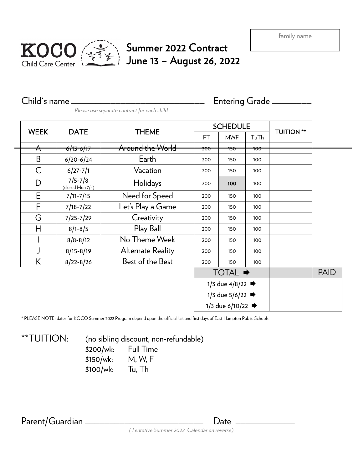

## Summer 2022 Contract June 13 – August 26, 2022

Child's name \_\_\_\_\_\_\_\_\_\_\_\_\_\_\_\_\_\_\_\_\_\_\_\_\_\_\_ Entering Grade \_\_\_\_\_\_\_\_ *Please use separate contract for each child.*

| <b>WEEK</b>      | <b>DATE</b>                     | <b>THEME</b>             | <b>SCHEDULE</b>                |                |      |                   |  |
|------------------|---------------------------------|--------------------------|--------------------------------|----------------|------|-------------------|--|
|                  |                                 |                          | FT.                            | <b>MWF</b>     | TuTh | <b>TUITION **</b> |  |
| $\blacktriangle$ | 6/13-6/17                       | Around the World         | <del>200</del>                 | <del>150</del> | 100  |                   |  |
| B                | $6/20 - 6/24$                   | Earth                    | 200                            | 150            | 100  |                   |  |
| $\mathsf C$      | $6/27 - 7/1$                    | Vacation                 | 200                            | 150            | 100  |                   |  |
| D                | $7/5 - 7/8$<br>(closed Mon 7/4) | Holidays                 | 200                            | 100            | 100  |                   |  |
| E                | $7/11 - 7/15$                   | Need for Speed           | 200                            | 150            | 100  |                   |  |
| F                | $7/18 - 7/22$                   | Let's Play a Game        | 200                            | 150            | 100  |                   |  |
| G                | $7/25 - 7/29$                   | Creativity               | 200                            | 150            | 100  |                   |  |
| Н                | $8/1 - 8/5$                     | Play Ball                | 200                            | 150            | 100  |                   |  |
|                  | $8/8 - 8/12$                    | No Theme Week            | 200                            | 150            | 100  |                   |  |
| J                | $8/15 - 8/19$                   | <b>Alternate Reality</b> | 200                            | 150            | 100  |                   |  |
| K                | $8/22 - 8/26$                   | Best of the Best         | 200                            | 150            | 100  |                   |  |
|                  |                                 |                          | <b>TOTAL →</b>                 |                |      | <b>PAID</b>       |  |
|                  |                                 |                          | 1/3 due $4/8/22$ $\Rightarrow$ |                |      |                   |  |
|                  |                                 |                          | 1/3 due $5/6/22$ $\rightarrow$ |                |      |                   |  |
|                  |                                 |                          | 1/3 due 6/10/22 →              |                |      |                   |  |

\* PLEASE NOTE: dates for KOCO Summer 2022 Program depend upon the official last and first days of East Hampton Public Schools

\*\*TUITION: (no sibling discount, non-refundable) \$200/wk: Full Time \$150/wk: M, W, F \$100/wk: Tu, Th

Parent/Guardian \_\_\_\_\_\_\_\_\_\_\_\_\_\_\_\_\_\_\_\_\_\_\_\_\_\_\_\_\_\_\_\_\_\_\_ Date